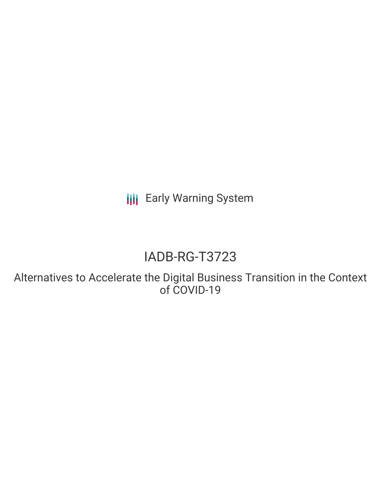**III** Early Warning System

# IADB-RG-T3723

Alternatives to Accelerate the Digital Business Transition in the Context of COVID-19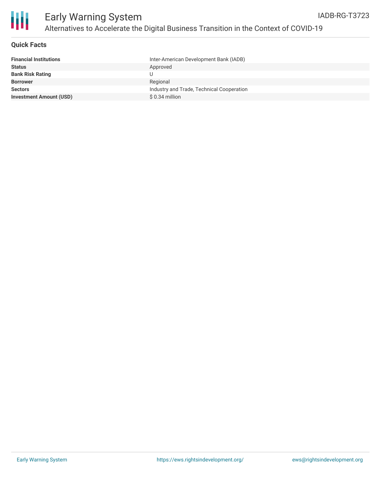

#### **Quick Facts**

| <b>Financial Institutions</b>  | Inter-American Development Bank (IADB)    |
|--------------------------------|-------------------------------------------|
| <b>Status</b>                  | Approved                                  |
| <b>Bank Risk Rating</b>        |                                           |
| <b>Borrower</b>                | Regional                                  |
| <b>Sectors</b>                 | Industry and Trade, Technical Cooperation |
| <b>Investment Amount (USD)</b> | $$0.34$ million                           |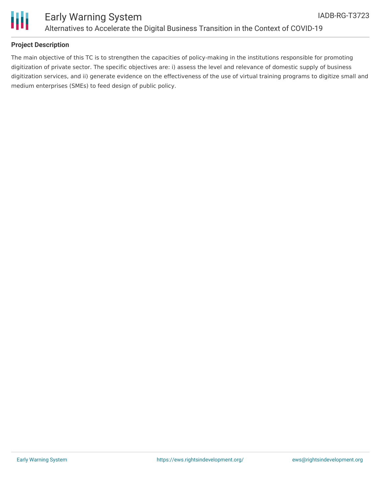

#### **Project Description**

The main objective of this TC is to strengthen the capacities of policy-making in the institutions responsible for promoting digitization of private sector. The specific objectives are: i) assess the level and relevance of domestic supply of business digitization services, and ii) generate evidence on the effectiveness of the use of virtual training programs to digitize small and medium enterprises (SMEs) to feed design of public policy.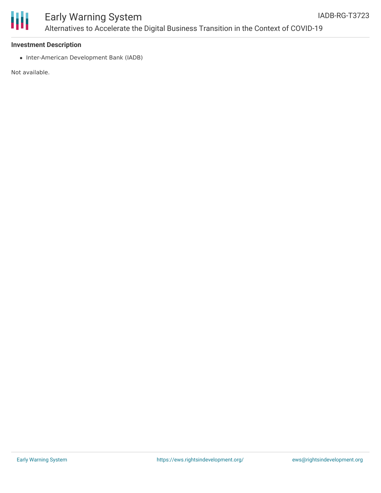

#### **Investment Description**

• Inter-American Development Bank (IADB)

Not available.